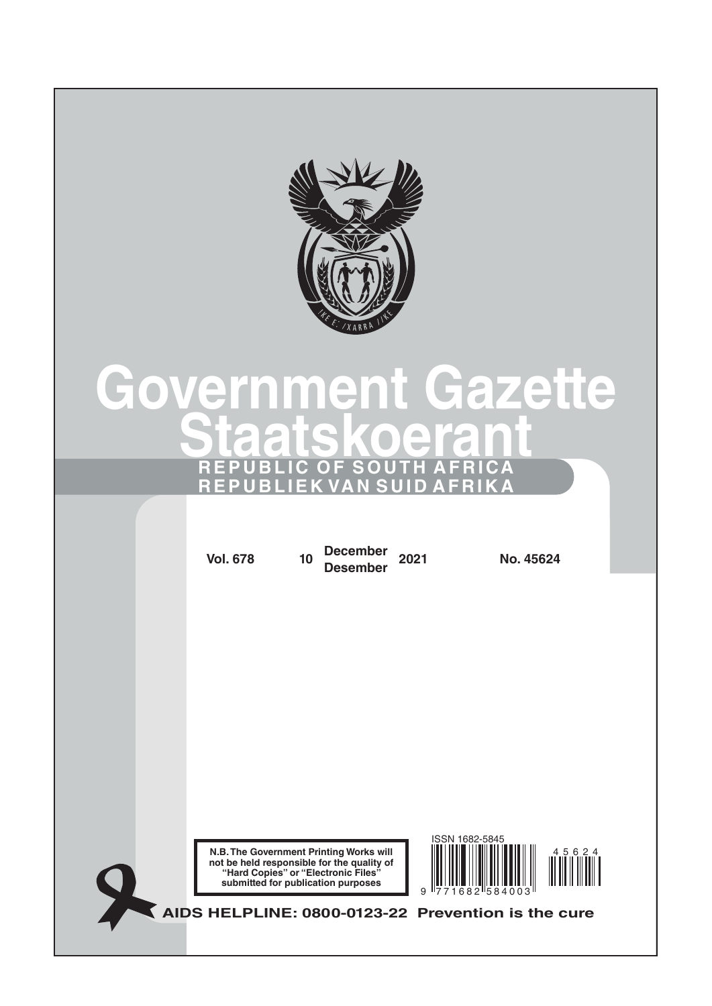

# **Government Gazette Staatskoerant REPUBLIC OF SOUTH AFRICA REPUBLIEK VAN SUID AFRIKA**

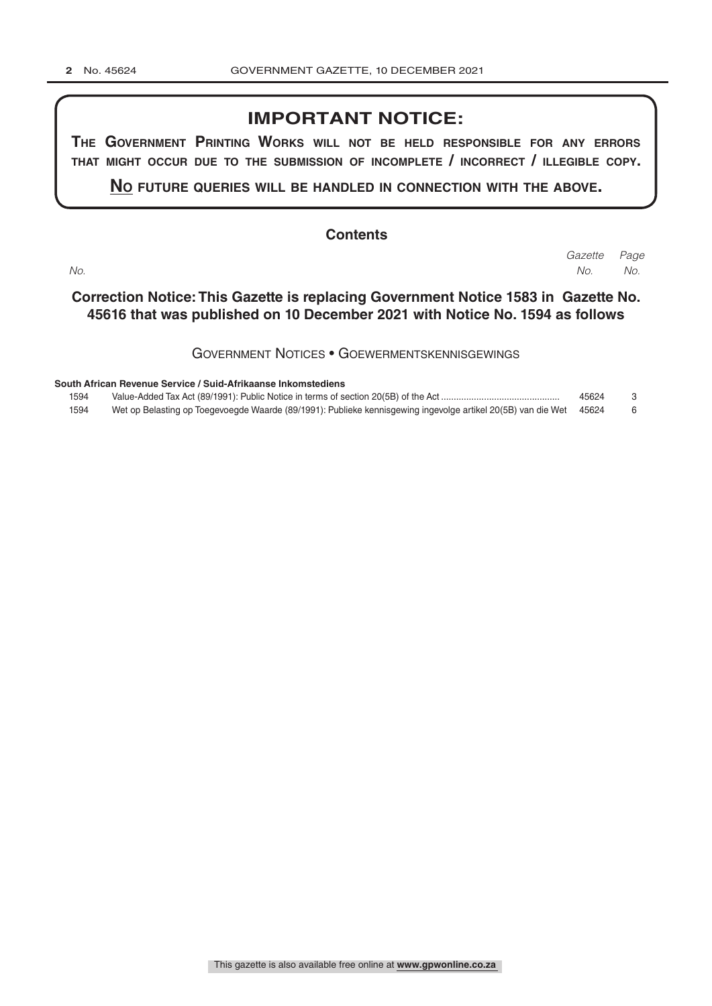# **IMPORTANT NOTICE:**

**The GovernmenT PrinTinG Works Will noT be held resPonsible for any errors ThaT miGhT occur due To The submission of incomPleTe / incorrecT / illeGible coPy.**

**no fuTure queries Will be handled in connecTion WiTh The above.**

#### **Contents**

*Page Gazette No. No. No.*

## **Correction Notice: This Gazette is replacing Government Notice 1583 in Gazette No. 45616 that was published on 10 December 2021 with Notice No. 1594 as follows**

## Government Notices • Goewermentskennisgewings

#### **South African Revenue Service / Suid-Afrikaanse Inkomstediens**

| 1594 |                                                                                                                    | 45624 | - 3 |
|------|--------------------------------------------------------------------------------------------------------------------|-------|-----|
| 1594 | Wet op Belasting op Toegevoegde Waarde (89/1991): Publieke kennisgewing ingevolge artikel 20(5B) van die Wet 45624 |       | 6   |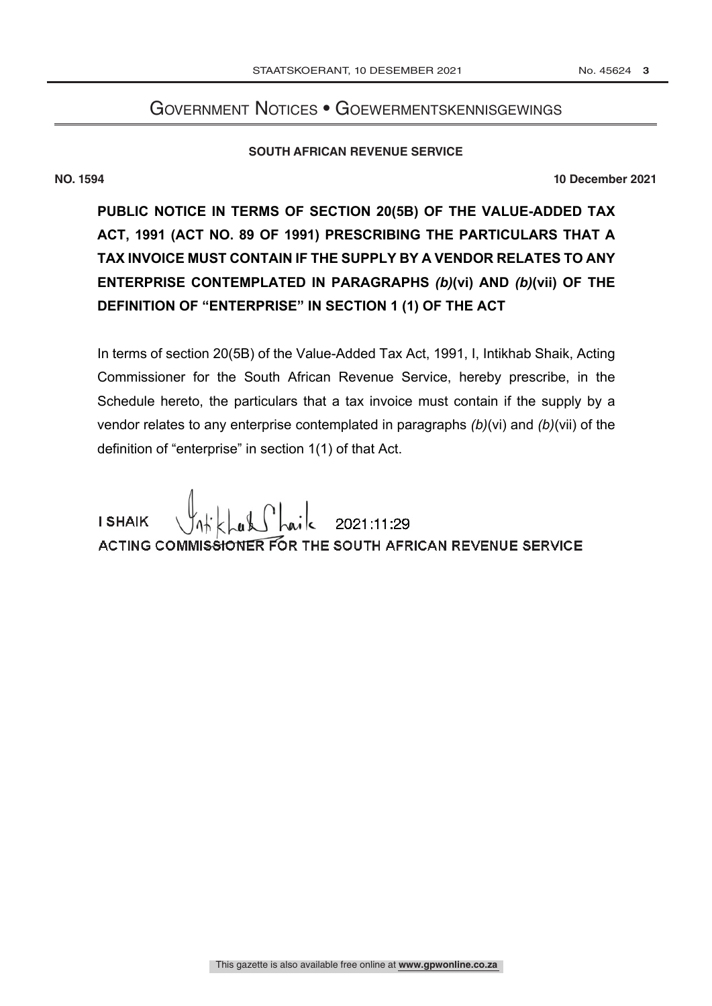## Government Notices • Goewermentskennisgewings **SOUTH AFRICAN REVENUE SERVICE**

#### **SOUTH AFRICAN REVENUE SERVICE**

**NO. 1594 10 December 2021**

**PUBLIC NOTICE IN TERMS OF SECTION 20(5B) OF THE VALUE-ADDED TAX ACT, 1991 (ACT NO. 89 OF 1991) PRESCRIBING THE PARTICULARS THAT A TAX INVOICE MUST CONTAIN IF THE SUPPLY BY A VENDOR RELATES TO ANY ENTERPRISE CONTEMPLATED IN PARAGRAPHS** *(b)***(vi) AND** *(b)***(vii) OF THE DEFINITION OF "ENTERPRISE" IN SECTION 1 (1) OF THE ACT**

In terms of section 20(5B) of the Value-Added Tax Act, 1991, I, Intikhab Shaik, Acting Commissioner for the South African Revenue Service, hereby prescribe, in the Schedule hereto, the particulars that a tax invoice must contain if the supply by a vendor relates to any enterprise contemplated in paragraphs *(b)*(vi) and *(b)*(vii) of the definition of "enterprise" in section 1(1) of that Act.

 $u$ t  $\int h$ aik 2021:11:29 **I SHAIK ACTING COMMISSIONER FOR THE SOUTH AFRICAN REVENUE SERVICE**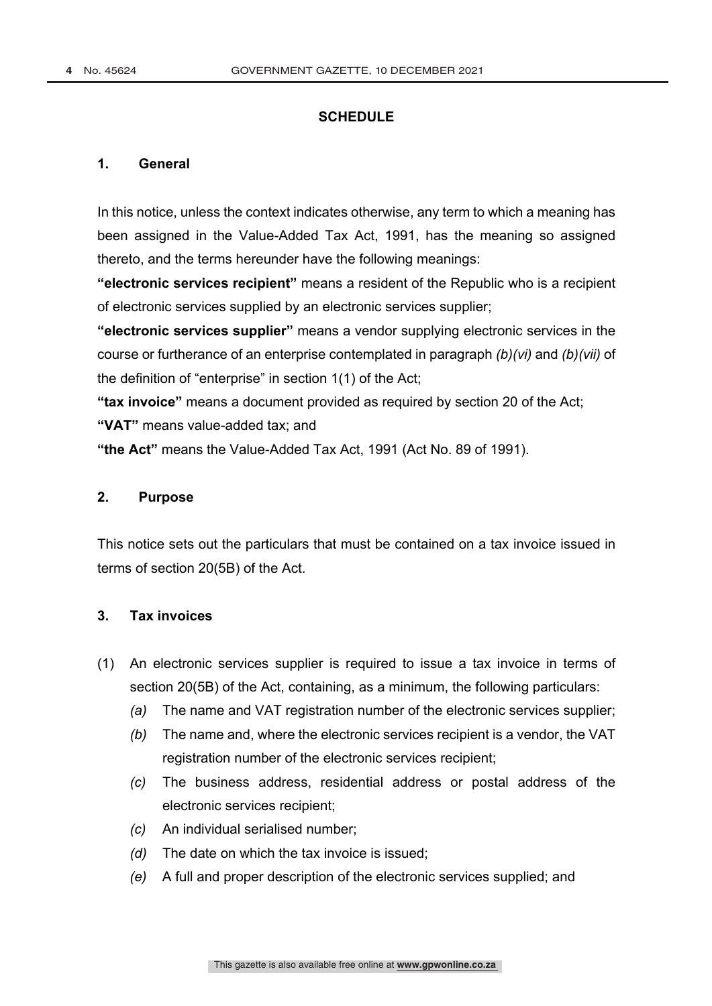## **SCHEDULE**

#### **1. General**

In this notice, unless the context indicates otherwise, any term to which a meaning has been assigned in the Value-Added Tax Act, 1991, has the meaning so assigned thereto, and the terms hereunder have the following meanings:

**"electronic services recipient"** means a resident of the Republic who is a recipient of electronic services supplied by an electronic services supplier;

**"electronic services supplier"** means a vendor supplying electronic services in the course or furtherance of an enterprise contemplated in paragraph *(b)(vi)* and *(b)(vii)* of the definition of "enterprise" in section 1(1) of the Act;

**"tax invoice"** means a document provided as required by section 20 of the Act;

**"VAT"** means value-added tax; and

**"the Act"** means the Value-Added Tax Act, 1991 (Act No. 89 of 1991).

## **2. Purpose**

This notice sets out the particulars that must be contained on a tax invoice issued in terms of section 20(5B) of the Act.

## **3. Tax invoices**

- (1) An electronic services supplier is required to issue a tax invoice in terms of section 20(5B) of the Act, containing, as a minimum, the following particulars:
	- *(a)* The name and VAT registration number of the electronic services supplier;
	- *(b)* The name and, where the electronic services recipient is a vendor, the VAT registration number of the electronic services recipient;
	- *(c)* The business address, residential address or postal address of the electronic services recipient;
	- *(c)* An individual serialised number;
	- *(d)* The date on which the tax invoice is issued;
	- *(e)* A full and proper description of the electronic services supplied; and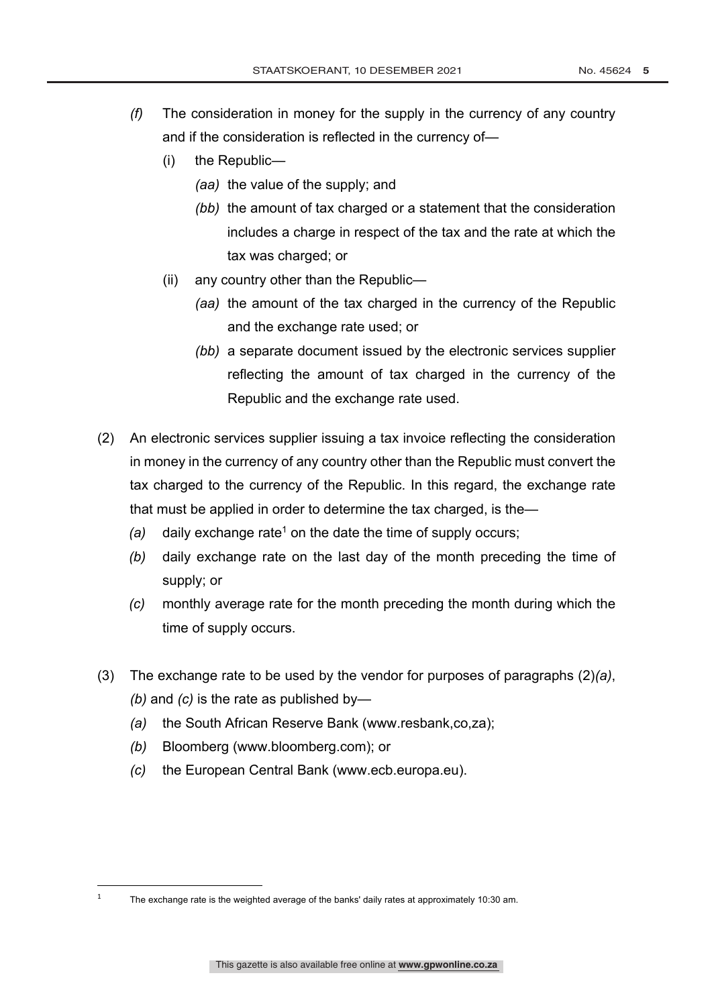- *(f)* The consideration in money for the supply in the currency of any country and if the consideration is reflected in the currency of—
	- (i) the Republic—
		- *(aa)* the value of the supply; and
		- *(bb)* the amount of tax charged or a statement that the consideration includes a charge in respect of the tax and the rate at which the tax was charged; or
	- (ii) any country other than the Republic—
		- *(aa)* the amount of the tax charged in the currency of the Republic and the exchange rate used; or
		- *(bb)* a separate document issued by the electronic services supplier reflecting the amount of tax charged in the currency of the Republic and the exchange rate used.
- (2) An electronic services supplier issuing a tax invoice reflecting the consideration in money in the currency of any country other than the Republic must convert the tax charged to the currency of the Republic. In this regard, the exchange rate that must be applied in order to determine the tax charged, is the—
	- $(a)$  daily exchange rate<sup>1</sup> on the date the time of supply occurs;
	- *(b)* daily exchange rate on the last day of the month preceding the time of supply; or
	- *(c)* monthly average rate for the month preceding the month during which the time of supply occurs.
- (3) The exchange rate to be used by the vendor for purposes of paragraphs (2)*(a)*, *(b)* and *(c)* is the rate as published by—
	- *(a)* the South African Reserve Bank (www.resbank,co,za);
	- *(b)* Bloomberg (www.bloomberg.com); or
	- *(c)* the European Central Bank (www.ecb.europa.eu).

<sup>&</sup>lt;sup>1</sup> The exchange rate is the weighted average of the banks' daily rates at approximately 10:30 am.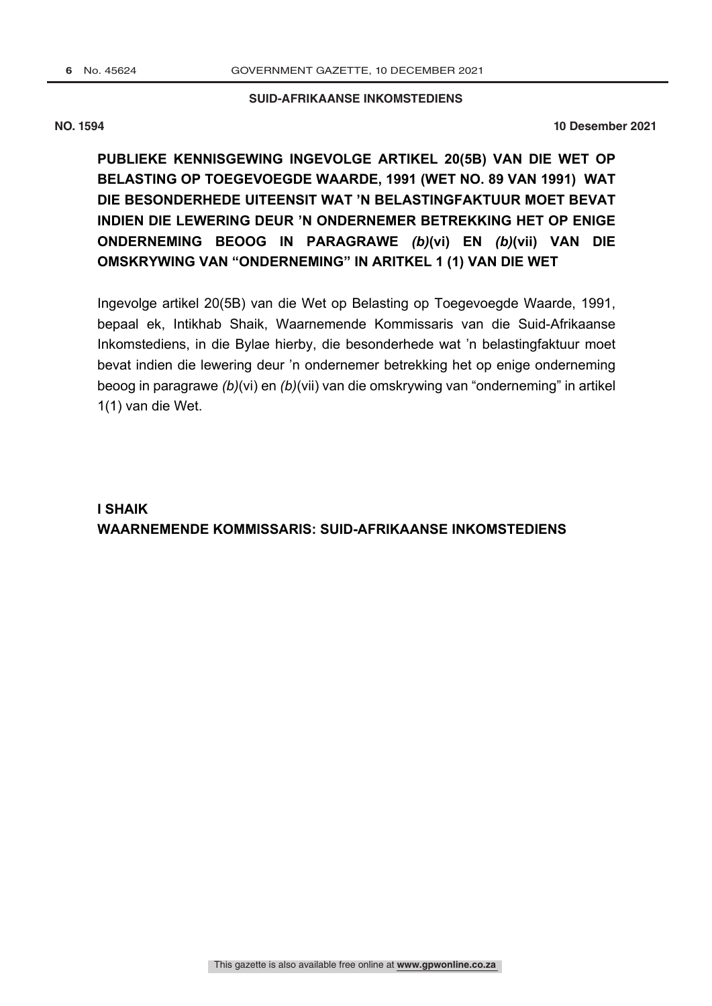#### **SUID-AFRIKAANSE INKOMSTEDIENS**

**NO. 1594 10 Desember 2021**

**PUBLIEKE KENNISGEWING INGEVOLGE ARTIKEL 20(5B) VAN DIE WET OP BELASTING OP TOEGEVOEGDE WAARDE, 1991 (WET NO. 89 VAN 1991) WAT DIE BESONDERHEDE UITEENSIT WAT 'N BELASTINGFAKTUUR MOET BEVAT INDIEN DIE LEWERING DEUR 'N ONDERNEMER BETREKKING HET OP ENIGE ONDERNEMING BEOOG IN PARAGRAWE** *(b)***(vi) EN** *(b)***(vii) VAN DIE OMSKRYWING VAN "ONDERNEMING" IN ARITKEL 1 (1) VAN DIE WET**

Ingevolge artikel 20(5B) van die Wet op Belasting op Toegevoegde Waarde, 1991, bepaal ek, Intikhab Shaik, Waarnemende Kommissaris van die Suid-Afrikaanse Inkomstediens, in die Bylae hierby, die besonderhede wat 'n belastingfaktuur moet bevat indien die lewering deur 'n ondernemer betrekking het op enige onderneming beoog in paragrawe *(b)*(vi) en *(b)*(vii) van die omskrywing van "onderneming" in artikel 1(1) van die Wet.

# **I SHAIK WAARNEMENDE KOMMISSARIS: SUID-AFRIKAANSE INKOMSTEDIENS**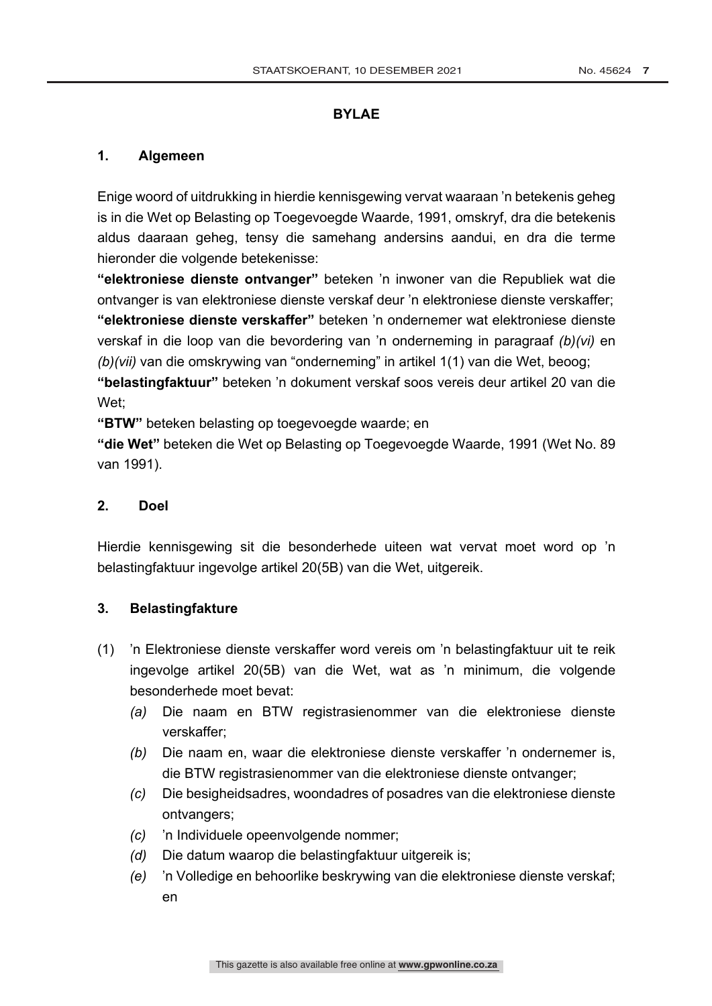## **BYLAE**

## **1. Algemeen**

Enige woord of uitdrukking in hierdie kennisgewing vervat waaraan 'n betekenis geheg is in die Wet op Belasting op Toegevoegde Waarde, 1991, omskryf, dra die betekenis aldus daaraan geheg, tensy die samehang andersins aandui, en dra die terme hieronder die volgende betekenisse:

**"elektroniese dienste ontvanger"** beteken 'n inwoner van die Republiek wat die ontvanger is van elektroniese dienste verskaf deur 'n elektroniese dienste verskaffer; **"elektroniese dienste verskaffer"** beteken 'n ondernemer wat elektroniese dienste verskaf in die loop van die bevordering van 'n onderneming in paragraaf *(b)(vi)* en *(b)(vii)* van die omskrywing van "onderneming" in artikel 1(1) van die Wet, beoog;

**"belastingfaktuur"** beteken 'n dokument verskaf soos vereis deur artikel 20 van die Wet;

**"BTW"** beteken belasting op toegevoegde waarde; en

**"die Wet"** beteken die Wet op Belasting op Toegevoegde Waarde, 1991 (Wet No. 89 van 1991).

## **2. Doel**

Hierdie kennisgewing sit die besonderhede uiteen wat vervat moet word op 'n belastingfaktuur ingevolge artikel 20(5B) van die Wet, uitgereik.

## **3. Belastingfakture**

- (1) 'n Elektroniese dienste verskaffer word vereis om 'n belastingfaktuur uit te reik ingevolge artikel 20(5B) van die Wet, wat as 'n minimum, die volgende besonderhede moet bevat:
	- *(a)* Die naam en BTW registrasienommer van die elektroniese dienste verskaffer;
	- *(b)* Die naam en, waar die elektroniese dienste verskaffer 'n ondernemer is, die BTW registrasienommer van die elektroniese dienste ontvanger;
	- *(c)* Die besigheidsadres, woondadres of posadres van die elektroniese dienste ontvangers;
	- *(c)* 'n Individuele opeenvolgende nommer;
	- *(d)* Die datum waarop die belastingfaktuur uitgereik is;
	- *(e)* 'n Volledige en behoorlike beskrywing van die elektroniese dienste verskaf; en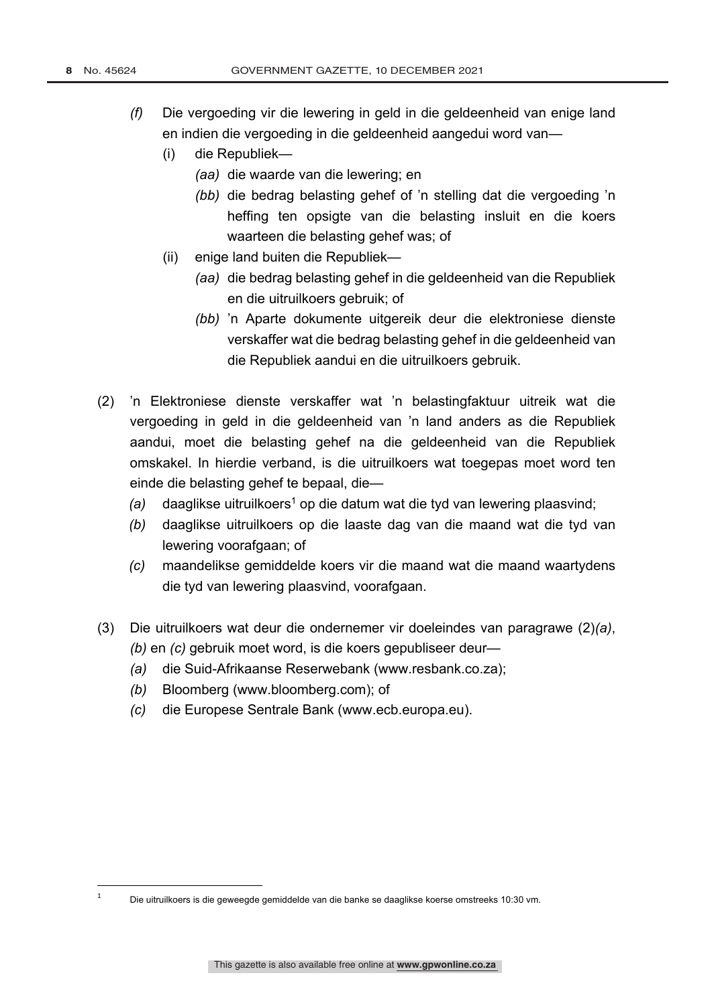- *(f)* Die vergoeding vir die lewering in geld in die geldeenheid van enige land en indien die vergoeding in die geldeenheid aangedui word van—
	- (i) die Republiek—
		- *(aa)* die waarde van die lewering; en
		- *(bb)* die bedrag belasting gehef of 'n stelling dat die vergoeding 'n heffing ten opsigte van die belasting insluit en die koers waarteen die belasting gehef was; of
	- (ii) enige land buiten die Republiek—
		- *(aa)* die bedrag belasting gehef in die geldeenheid van die Republiek en die uitruilkoers gebruik; of
		- *(bb)* 'n Aparte dokumente uitgereik deur die elektroniese dienste verskaffer wat die bedrag belasting gehef in die geldeenheid van die Republiek aandui en die uitruilkoers gebruik.
- (2) 'n Elektroniese dienste verskaffer wat 'n belastingfaktuur uitreik wat die vergoeding in geld in die geldeenheid van 'n land anders as die Republiek aandui, moet die belasting gehef na die geldeenheid van die Republiek omskakel. In hierdie verband, is die uitruilkoers wat toegepas moet word ten einde die belasting gehef te bepaal, die—
	- *(a)* daaglikse uitruilkoers1 op die datum wat die tyd van lewering plaasvind;
	- *(b)* daaglikse uitruilkoers op die laaste dag van die maand wat die tyd van lewering voorafgaan; of
	- *(c)* maandelikse gemiddelde koers vir die maand wat die maand waartydens die tyd van lewering plaasvind, voorafgaan.
- (3) Die uitruilkoers wat deur die ondernemer vir doeleindes van paragrawe (2)*(a)*, *(b)* en *(c)* gebruik moet word, is die koers gepubliseer deur—
	- *(a)* die Suid-Afrikaanse Reserwebank (www.resbank.co.za);
	- *(b)* Bloomberg (www.bloomberg.com); of
	- *(c)* die Europese Sentrale Bank (www.ecb.europa.eu).

 $1 -$  Die uitruilkoers is die geweegde gemiddelde van die banke se daaglikse koerse omstreeks 10:30 vm.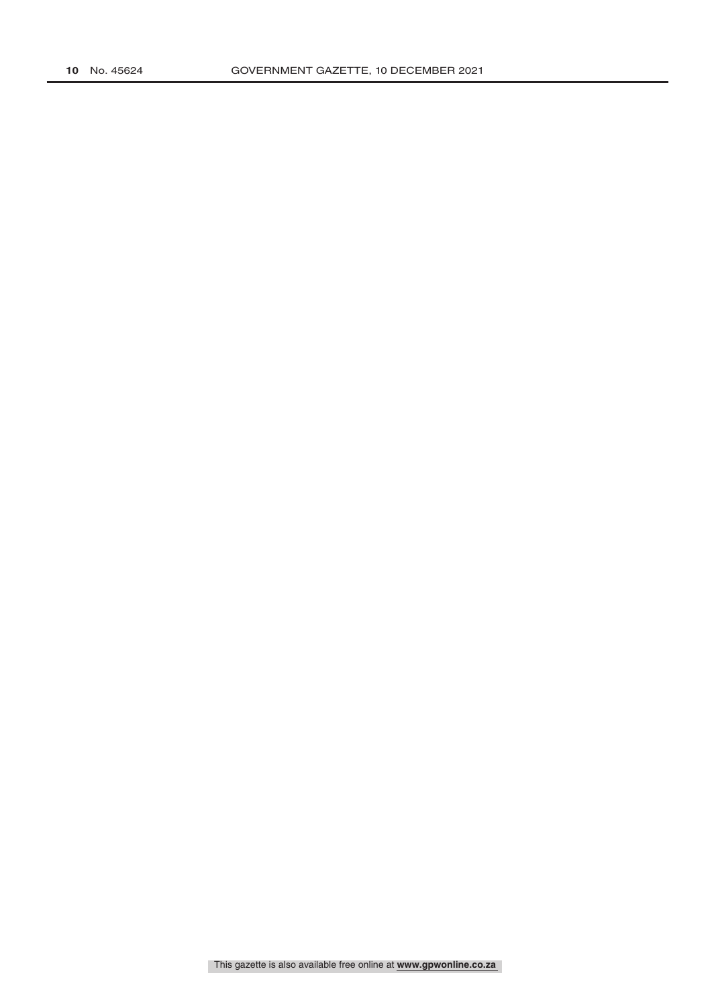This gazette is also available free online at **www.gpwonline.co.za**